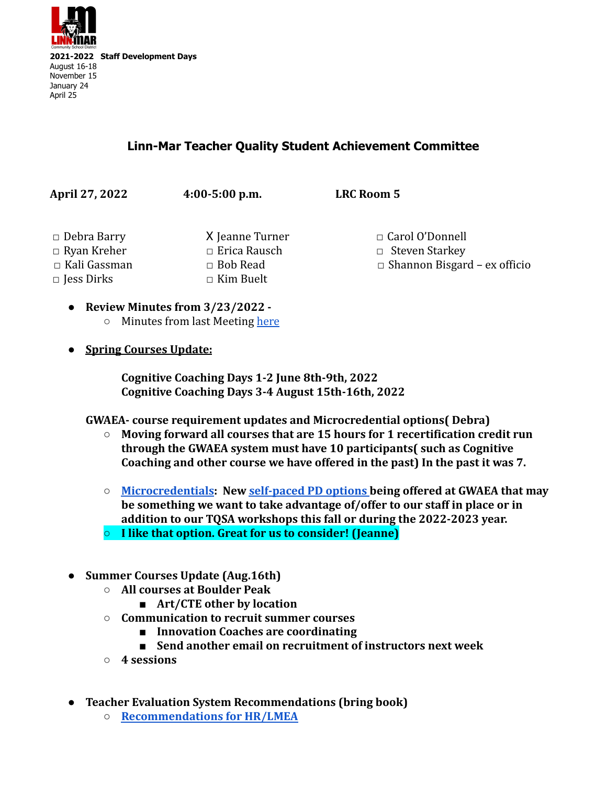

## **Linn-Mar Teacher Quality Student Achievement Committee**

**April 27, 2022 4:00-5:00 p.m. LRC Room 5** □ Debra Barry X Jeanne Turner □ Carol O'Donnell □ Ryan Kreher □ Erica Rausch □ Steven Starkey □ Kali Gassman □ Bob Read □ Shannon Bisgard – ex officio □ Jess Dirks □ Kim Buelt

- **● Review Minutes from 3/23/2022 -** ○ Minutes from last Meeting [here](https://docs.google.com/document/d/1cuU2wgcvke6KghS9HtY2SW9LixC_fZo2U2vTI8Rl0wc/edit)
- **● Spring Courses Update:**

**Cognitive Coaching Days 1-2 June 8th-9th, 2022 Cognitive Coaching Days 3-4 August 15th-16th, 2022**

**GWAEA- course requirement updates and Microcredential options( Debra)**

- **○ Moving forward all courses that are 15 hours for 1 recertification credit run through the GWAEA system must have 10 participants( such as Cognitive Coaching and other course we have offered in the past) In the past it was 7.**
- **○ [Microcredentials](https://www.youtube.com/watch?v=f66EI4HurvQ&t=9s): New [self-paced PD options](https://www.gwaea.org/2022/02/17/micro-credentials-what-are-they/) being offered at GWAEA that may be something we want to take advantage of/offer to our staff in place or in addition to our TQSA workshops this fall or during the 2022-2023 year.**
- **○ I like that option. Great for us to consider! (Jeanne)**
- **● Summer Courses Update (Aug.16th)**
	- **○ All courses at Boulder Peak**
		- **■ Art/CTE other by location**
	- **○ Communication to recruit summer courses**
		- **■ Innovation Coaches are coordinating**
		- **■ Send another email on recruitment of instructors next week**
	- **○ 4 sessions**
- **● Teacher Evaluation System Recommendations (bring book)**
	- **○ [Recommendations for HR/LMEA](https://docs.google.com/document/d/1nd_UeyINlpJYW_7XrxMj8GJXrgRecDKM4R7uGq0ExhM/edit?usp=sharing)**